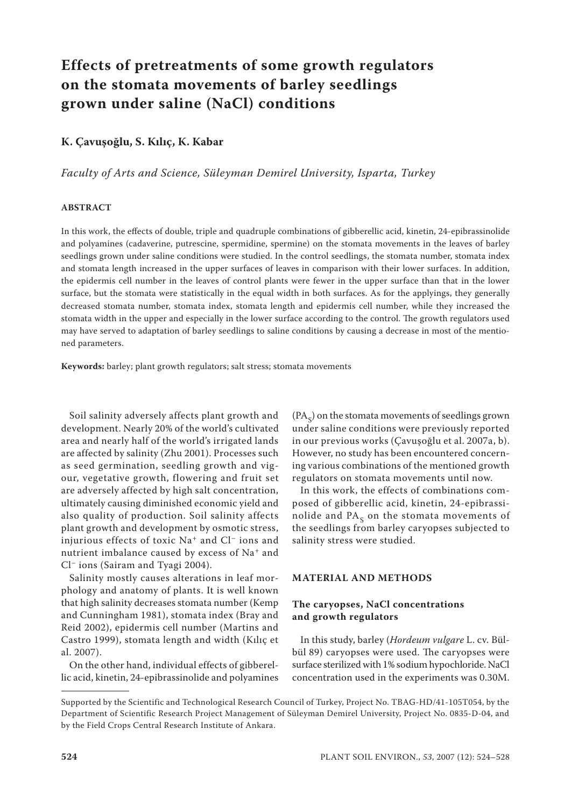# **Effects of pretreatments of some growth regulators on the stomata movements of barley seedlings grown under saline (NaCl) conditions**

## **K. Çavuşoğlu, S. Kılıç, K. Kabar**

*Faculty of Arts and Science, Süleyman Demirel University, Isparta, Turkey*

### **ABSTRACT**

In this work, the effects of double, triple and quadruple combinations of gibberellic acid, kinetin, 24-epibrassinolide and polyamines (cadaverine, putrescine, spermidine, spermine) on the stomata movements in the leaves of barley seedlings grown under saline conditions were studied. In the control seedlings, the stomata number, stomata index and stomata length increased in the upper surfaces of leaves in comparison with their lower surfaces. In addition, the epidermis cell number in the leaves of control plants were fewer in the upper surface than that in the lower surface, but the stomata were statistically in the equal width in both surfaces. As for the applyings, they generally decreased stomata number, stomata index, stomata length and epidermis cell number, while they increased the stomata width in the upper and especially in the lower surface according to the control. The growth regulators used may have served to adaptation of barley seedlings to saline conditions by causing a decrease in most of the mentioned parameters.

**Keywords:** barley; plant growth regulators; salt stress; stomata movements

Soil salinity adversely affects plant growth and development. Nearly 20% of the world's cultivated area and nearly half of the world's irrigated lands are affected by salinity (Zhu 2001). Processes such as seed germination, seedling growth and vigour, vegetative growth, flowering and fruit set are adversely affected by high salt concentration, ultimately causing diminished economic yield and also quality of production. Soil salinity affects plant growth and development by osmotic stress, injurious effects of toxic Na+ and Cl– ions and nutrient imbalance caused by excess of Na<sup>+</sup> and Cl– ions (Sairam and Tyagi 2004).

Salinity mostly causes alterations in leaf morphology and anatomy of plants. It is well known that high salinity decreases stomata number (Kemp and Cunningham 1981), stomata index (Bray and Reid 2002), epidermis cell number (Martins and Castro 1999), stomata length and width (Kılıç et al. 2007).

On the other hand, individual effects of gibberellic acid, kinetin, 24-epibrassinolide and polyamines

 $(PA<sub>c</sub>)$  on the stomata movements of seedlings grown under saline conditions were previously reported in our previous works (Çavuşoğlu et al. 2007a, b). However, no study has been encountered concerning various combinations of the mentioned growth regulators on stomata movements until now.

In this work, the effects of combinations composed of gibberellic acid, kinetin, 24-epibrassinolide and  $PA<sub>S</sub>$  on the stomata movements of the seedlings from barley caryopses subjected to salinity stress were studied.

#### **MATERIAL AND METHODS**

## **The caryopses, NaCl concentrations and growth regulators**

In this study, barley (*Hordeum vulgare* L. cv. Bülbül 89) caryopses were used. The caryopses were surface sterilized with 1% sodium hypochloride. NaCl concentration used in the experiments was 0.30M.

Supported by the Scientific and Technological Research Council of Turkey, Project No. TBAG-HD/41-105T054, by the Department of Scientific Research Project Management of Süleyman Demirel University, Project No. 0835-D-04, and by the Field Crops Central Research Institute of Ankara.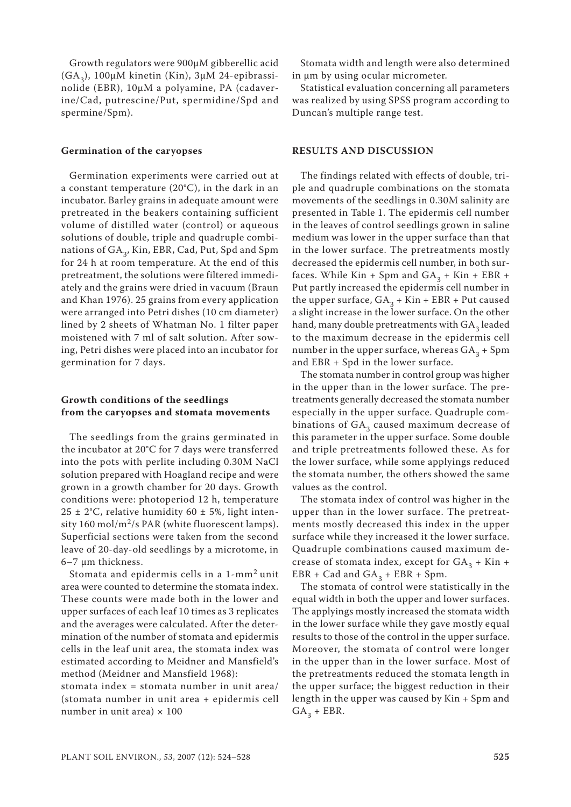Growth regulators were 900µM gibberellic acid  $(GA<sub>2</sub>)$ , 100µM kinetin (Kin), 3µM 24-epibrassinolide (EBR), 10µM a polyamine, PA (cadaverine/Cad, putrescine/Put, spermidine/Spd and spermine/Spm).

#### **Germination of the caryopses**

Germination experiments were carried out at a constant temperature (20°C), in the dark in an incubator. Barley grains in adequate amount were pretreated in the beakers containing sufficient volume of distilled water (control) or aqueous solutions of double, triple and quadruple combinations of GA<sub>3</sub>, Kin, EBR, Cad, Put, Spd and Spm for 24 h at room temperature. At the end of this pretreatment, the solutions were filtered immediately and the grains were dried in vacuum (Braun and Khan 1976). 25 grains from every application were arranged into Petri dishes (10 cm diameter) lined by 2 sheets of Whatman No. 1 filter paper moistened with 7 ml of salt solution. After sowing, Petri dishes were placed into an incubator for germination for 7 days.

## **Growth conditions of the seedlings from the caryopses and stomata movements**

The seedlings from the grains germinated in the incubator at 20°C for 7 days were transferred into the pots with perlite including 0.30M NaCl solution prepared with Hoagland recipe and were grown in a growth chamber for 20 days. Growth conditions were: photoperiod 12 h, temperature  $25 \pm 2$ °C, relative humidity 60  $\pm$  5%, light intensity 160 mol/m<sup>2</sup>/s PAR (white fluorescent lamps). Superficial sections were taken from the second leave of 20-day-old seedlings by a microtome, in 6–7 µm thickness.

Stomata and epidermis cells in a 1-mm2 unit area were counted to determine the stomata index. These counts were made both in the lower and upper surfaces of each leaf 10 times as 3 replicates and the averages were calculated. After the determination of the number of stomata and epidermis cells in the leaf unit area, the stomata index was estimated according to Meidner and Mansfield's method (Meidner and Mansfield 1968):

stomata index = stomata number in unit area/ (stomata number in unit area + epidermis cell number in unit area)  $\times$  100

Stomata width and length were also determined in µm by using ocular micrometer.

Statistical evaluation concerning all parameters was realized by using SPSS program according to Duncan's multiple range test.

#### **RESULTS AND DISCUSSION**

The findings related with effects of double, triple and quadruple combinations on the stomata movements of the seedlings in 0.30M salinity are presented in Table 1. The epidermis cell number in the leaves of control seedlings grown in saline medium was lower in the upper surface than that in the lower surface. The pretreatments mostly decreased the epidermis cell number, in both surfaces. While Kin + Spm and  $GA_3$  + Kin + EBR + Put partly increased the epidermis cell number in the upper surface,  $GA_3 + Kin + EBR + Put caused$ a slight increase in the lower surface. On the other hand, many double pretreatments with  $GA<sub>3</sub>$  leaded to the maximum decrease in the epidermis cell number in the upper surface, whereas  $GA_3 + Spm$ and EBR + Spd in the lower surface.

The stomata number in control group was higher in the upper than in the lower surface. The pretreatments generally decreased the stomata number especially in the upper surface. Quadruple combinations of  $GA_3$  caused maximum decrease of this parameter in the upper surface. Some double and triple pretreatments followed these. As for the lower surface, while some applyings reduced the stomata number, the others showed the same values as the control.

The stomata index of control was higher in the upper than in the lower surface. The pretreatments mostly decreased this index in the upper surface while they increased it the lower surface. Quadruple combinations caused maximum decrease of stomata index, except for  $GA_3 + Kin +$ EBR + Cad and  $GA_3$  + EBR + Spm.

The stomata of control were statistically in the equal width in both the upper and lower surfaces. The applyings mostly increased the stomata width in the lower surface while they gave mostly equal results to those of the control in the upper surface. Moreover, the stomata of control were longer in the upper than in the lower surface. Most of the pretreatments reduced the stomata length in the upper surface; the biggest reduction in their length in the upper was caused by Kin + Spm and  $GA<sub>3</sub> + EBR.$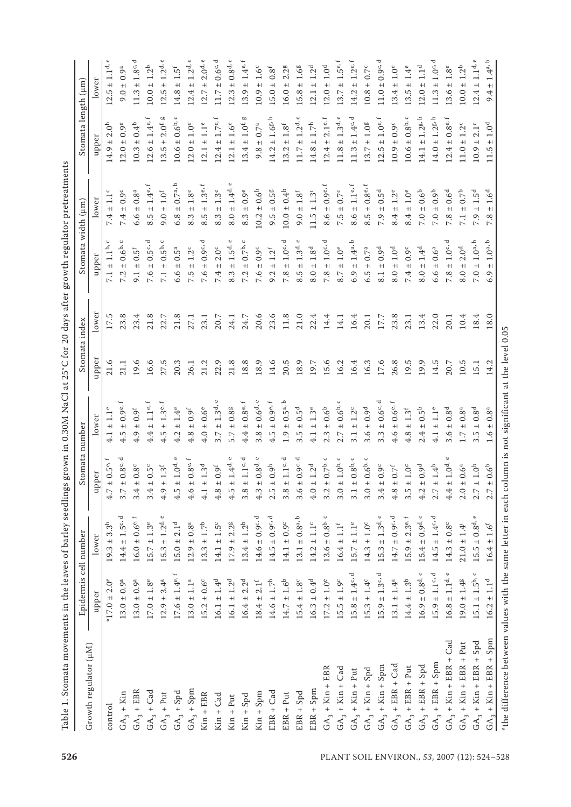|                               | Epidermis                              | cell number                                            | Stomata number                                    |                                          |          | Stomata index | Stomata width (µm)                                              |                                                   | Stomata length (µm)                                |                                                            |
|-------------------------------|----------------------------------------|--------------------------------------------------------|---------------------------------------------------|------------------------------------------|----------|---------------|-----------------------------------------------------------------|---------------------------------------------------|----------------------------------------------------|------------------------------------------------------------|
| Growth regulator (µM)         | upper                                  | lower                                                  | per<br>ਝੋਂ                                        | lower                                    | upper    | lower         | upper                                                           | lower                                             | upper                                              | lower                                                      |
| control                       | $2.0^e$<br>$*17.0 \pm$                 | $\mathbb{S}^{\mathbb{N}}$<br>က်<br>$+$<br>19.3         | $\pm 0.5^{\rm e,1}$<br>4.7                        | $1.1^e$<br>$+$<br>$\frac{1}{4}$          | 21.6     | 17.5          | $\mathrel{\cup}$<br>$1.1b$<br>$+$<br>$\overline{7.1}$           | $7.4 \pm 1.1$                                     | 2.0 <sup>h</sup><br>$+$<br>14.9                    | $1.1^\mathrm{d}$<br>$+1$<br>12.5                           |
| $GA_3 + Kin$                  | $13.0 \pm 0.9^a$                       | ರ<br>$14.4 \pm 1.5^{\circ}$                            | ರ<br>$\pm 0.8^{\circ}$ .<br>3.7                   | $4.5 \pm 0.9^{\rm e}$                    | 21.1     | 23.8          | $\mathrel{\cup}$<br>0.6 <sup>b</sup><br>$+1$<br>7.2             | $7.4 \pm 0.9^{\circ}$                             | $12.0 \pm 0.9^e$                                   | $9.0 \pm 0.9^{\rm a}$                                      |
| $GA_3 + EBR$                  | $13.0 \pm 0.9^a$                       | $\ddot{}$<br>$16.0 \pm 0.6^{\rm e}$                    | $0.8^{\rm c}$<br>$+1$<br>3.4                      | $\pm$ 0.9f<br>4.9                        | 19.6     | 23.4          | £f<br>$\circ$<br>$+$<br>9.1                                     | $\pm$ 0.8ª<br>6.6                                 | $\pm$ 0.4 <sup>b</sup><br>10.3                     | ರ<br>1.8c<br>$+$<br>11.3                                   |
| $GA_3 + Cad$                  | $1.8^e$<br>$17.0\,\pm\,$               | $1.3^e$<br>$+$<br>$15.7\,$                             | $0.5^c$<br>$+1$<br>3.4                            | 1.1 <sup>e,1</sup><br>$+$<br>4.4         | 16.6     | 21.8          | 4<br>0.5c<br>$+$<br>7.6                                         | $\pm$<br>1.4e.<br>$+1$<br>8.5                     | f<br>1.4e<br>$+$<br>12.6                           | 1.2 <sup>b</sup><br>$+1$<br>10.0                           |
| $GA_3 + Put$                  | 3.4 <sup>a</sup><br>$12.9 \pm$         | $\mathbb O$<br>$15.3 \pm 1.2$ <sup>d</sup>             | $1.3^{\rm f}$<br>$+1$<br>4.9                      | $1.3^{\rm e,\, f}$<br>$4.5 \pm$          | 27.5     | 22.7          | $\mathrel{\cup}$<br>0.5 <sup>b</sup><br>$+$<br>$\overline{7.1}$ | $1.0^{\rm f}$<br>$9.0 +$                          | <b>bD</b><br>2.0 <sup>f</sup><br>$13.5 \pm$        | 1.2 <sup>d</sup><br>$^{\rm +}$<br>12.5                     |
| $GA_3 + Spd$                  | $17.6 \pm 1.4^{\circ}$                 | $15.0 \pm 2.1$ <sup>d</sup>                            | $\circ$<br>$1.0d$<br>$+1$<br>4.5                  | $\pm$ 1.4°<br>4.2                        | 20.3     | 21.8          | $5^a$<br>$\dot{\circ}$<br>$+$<br>6.6                            | $\mathbin{\supseteq}$<br>$6.8 \pm 0.7$ a,         | $\mathrel{\cup}$<br>$10.6 \pm 0.6^{\rm b}$         | 1.5 <sup>f</sup><br>$\qquad \qquad + \mid$<br>14.8         |
| $GA_3 + Spm$                  | $13.0 \pm 1.1^a$                       | $\pm$ 0.8ª<br>12.9                                     | $0.8^{\mathrm{e,f}}$<br>$+$  <br>4.6              | $4.8 \pm 0.9^f$                          | 26.1     | 27.1          | $1.2^c$<br>$+1$<br>7.5                                          | $1.8^e$<br>$+1$<br>8.3                            | $1.0^e$<br>$+$<br>12.0                             | 1.2 <sup>d</sup><br>$+$<br>12.4                            |
| $Kin + EBR$                   | $0.6^c$<br>$+$<br>15.2                 | م<br>$\overline{1}$ :7<br>$+$<br>13.3                  | 1.3 <sup>d</sup><br>$+1$<br>$\frac{1}{4}$         | $0.6^e$<br>$+$<br>4.0                    | 21.2     | 23.1          | ರ<br>$0.9^{c}$ ,<br>$+$<br>7.6                                  | $1.3^{\rm e,f}$<br>$+$<br>8.5                     | 1.1 <sup>e</sup><br>$+1$<br>12.1                   | 2.0 <sup>d</sup><br>$+1$<br>12.7                           |
| $Kin + Cad$                   | $16.1 \pm 1.4$ <sup>d</sup>            | ± 1.5 <sup>c</sup><br>14.1                             | $0.9^{\rm f}$<br>$+1$<br>4.8                      | $\mathbbmss{}$<br>$1.3d$ .<br>$+$<br>3.7 | 22.9     | 20.7          | $2.0^{\circ}$<br>$+$<br>7.4                                     | $1.3^e$<br>$\ddot{+}$<br>8.3                      | $\ddot{}$<br>1.7 <sup>e</sup><br>$+$<br>12.4       | ರ<br>$\pm 0.6^{\rm c}$<br>11.7                             |
| $Kin + Put$                   | 1.2 <sup>d</sup><br>$+$<br>16.1        | ± 2.2 <sup>g</sup><br>17.9                             | $1.4^{\rm d, \, e}$<br>$+$<br>4.5                 | 0.8 <sup>g</sup><br>$+$<br>5.7           | 21.8     | 24.1          | $\mathbbmss{}$<br>$1.5d$ .<br>$+$<br>8.3                        | $\mathbbmss{C}$<br>1.4 <sup>d</sup><br>$+$<br>8.0 | $1.6^e$<br>$+$<br>12.1                             | 0.8 <sup>d</sup><br>$^{\rm +}$<br>12.3                     |
| $Kin + Spd$                   | 2.2 <sup>d</sup><br>$+$<br>16.4        | $13.4 \pm 1.2^b$                                       | $1.1^{\rm c,\,d}$<br>$+1$<br>3.8                  | $\pm$ 0.8°, f<br>4.4                     | 18.8     | 24.7          | $\circ$<br>0.7 <sup>b</sup><br>$+$<br>7.2                       | $\pm$ 0.9e<br>8.3                                 | <b>b</b><br>$1.0^{\rm f}\!,$<br>$+$<br>13.4        | 1.4e<br>$+$<br>13.9                                        |
| $Kin + Spm$                   | $2.1$ <sup>f</sup><br>$18.4 \pm$       | $14.6 \pm 0.9^{\circ}$ , d                             | $0.8^{\rm d. \, e}$<br>$+1$<br>4.3                | $0.6^{\rm d.\,e}$<br>$+$<br>3.8          | 18.9     | 20.6          | $0.9^{\rm c}$<br>$+$<br>7.6                                     | 0.6 <sup>h</sup><br>$10.2 \pm$                    | $0.7^a$<br>$+$<br>9.8                              | 1.6 <sup>c</sup><br>$^{\rm +}$<br>10.9                     |
| EBR + Cad                     | $14.6 \pm 1.7^b$                       | ರ<br>$14.5 \pm 0.9^{\circ}$                            | 0.9 <sup>b</sup><br>$+$<br>2.5                    | $\pm$ 0.9e, f<br>4.5                     | 14.6     | 23.6          | $1.2^f$<br>$+1$<br>9.2                                          | $9.5 \pm 0.58$                                    | 드<br>$1.6g$<br>$+1$<br>14.2                        | $0.8^{\rm f}$<br>$+$<br>15.0                               |
| $EBR + Put$                   | $1.6^{\rm b}$<br>$14.7 \pm$            | $14.1 \pm 0.9^c$                                       | $1.1^{\rm c,\,d}$<br>$+$<br>3.8                   | م<br>$0.5^{a}$<br>$+$<br>1.9             | 20.5     | $11.8$        | $1.0^{\rm c,\,d}$<br>$+$<br>7.8                                 | 0.4 <sup>h</sup><br>$10.0 \pm 1$                  | $1.8^{\rm f}$<br>$+$<br>3.2                        | 2 <sup>g</sup><br>$\overline{\mathcal{C}}$<br>$+1$<br>16.0 |
| $EBR + Spd$                   | 1.8 <sup>c</sup><br>$+$<br>15.4        | م<br>$\pm 0.8^{a}$<br>13.1                             | $0.9c$ , d<br>$+1$<br>3.6                         | 0.5 <sup>d</sup><br>$\pm$<br>3.5         | 18.9     | 21.0          | $\mathbbmss{C}$<br>1.3 <sup>d</sup><br>$+1$<br>8.5              | $1.8^{\rm f}$<br>$9.0 \pm$                        | $\mathbbmss{C}$<br>1.2 <sup>d</sup><br>$+$<br>11.7 | 1.6 <sup>g</sup><br>$+1$<br>15.8                           |
| $EBR + Spm$                   | 0.4 <sup>d</sup><br>$16.3 \pm$         | $14.2 \pm 1.1^c$                                       | 1.2 <sup>d</sup><br>$+1$<br>4.0                   | $1.3^e$<br>$+$<br>4.1                    | 19.7     | 22.4          | $1.8^{\rm d}$<br>$\pm$<br>8.0                                   | 1.3 <sup>1</sup><br>$11.5 \pm$                    | $1.7^{\rm h}$<br>$+$<br>14.8                       | 1.2 <sup>d</sup><br>$^{\rm +}$<br>12.1                     |
| $GA_3 + Kin + EBR$            | $17.2 \pm 1.0^e$                       | $\circ$<br>$13.6 \pm 0.8^{\rm b}$ ,                    | $0.7^{\rm b,\ c}$<br>$+1$<br>3.2                  | $\pm$ 0.6 $^{\rm b}$<br>2.3              | 15.6     | 14.4          | ರ<br>$1.0^{\rm c}$<br>$+1$<br>7.8                               | $\ddot{}$<br>$8.6 \pm 0.9^{\rm e}$                | f<br>2.1 <sup>e</sup><br>$+$<br>12.4               | 1.0 <sup>d</sup><br>$+$<br>12.0                            |
| $GA_3 + Kin + Cad$            | $15.5 \pm 1.9^c$                       | $16.4 \pm 1.1^\mathrm{f}$                              | $\circ$<br>± 1.0 <sup>b</sup><br>3.0              | $\pm 0.6^{b,+}$<br>2.7                   | 16.2     | 14.1          | $1.0^{\rm e}$<br>$+1$<br>8.7                                    | $\pm$ 0.7°<br>7.5                                 | $\mathbb O$<br>1.3 <sup>d</sup><br>$+1$<br>11.8    | 5e,<br>$\overline{ }$<br>$+1$<br>13.7                      |
| Put<br>$GA_3 + Kin +$         | ರ<br>$15.8 \pm 1.4^{\circ}$            | $1.1^e$<br>$+$<br>15.7                                 | $0.8^{\rm b,\,c}$<br>$+$<br>3.1                   | $1.2^c$<br>$+$<br>3.1                    | 16.4     | 16.4          | م<br>$1.4^\mathrm{a}$<br>$+$<br>6.9                             | 1.1 <sup>e</sup><br>$+1$<br>8.6                   | ರ<br>1.4 <sup>c</sup><br>$+1$<br>11.3              | 1.2 <sup>e</sup><br>$^{\rm +}$<br>14.2                     |
| $GA_3 + Kin + Spd$            | $15.3 \pm 1.4^c$                       | $14.3 \pm 1.0^c$                                       | $\cup$<br>0.6 <sup>b</sup><br>$+1$<br>3.0         | $\pm$ 0.9 <sup>d</sup><br>3.6            | 16.3     | 20.1          | 0.7 <sup>a</sup><br>$\ddot{+}$<br>6.5                           | $\pm$ 0.8e, f<br>8.5                              | 1.0 <sup>g</sup><br>$+$<br>13.7                    | $10.8 \pm 0.7^{\circ}$                                     |
| $GA_3 + Kin + Spm$            | ರ<br>$15.9 \pm 1.3^{\circ}$            | $\circ$<br>$\pm$ 1.3d,<br>15.3                         | $0.9^{\rm c}$<br>$+1$<br>3.4                      | $0.6c$ , d<br>$+$<br>3.3                 | 17.6     | 17.7          | 0.9 <sup>d</sup><br>$+$<br>8.1                                  | 0.5 <sup>d</sup><br>$+$<br>7.9                    | f<br>1.0 <sup>e</sup><br>$+$<br>12.5               | $\pm 0.9^{\circ}$<br>11.0                                  |
| $GA_3 + EBR + Cad$            | $13.1 \pm 1.4^a$                       | $14.7 \pm 0.9^{\circ}$ , d                             | $0.7^{\rm f}$<br>$+1$<br>4.8                      | $\pm$ 0.6e, f<br>4.6                     | 26.8     | 23.8          | $1.0^{\rm d}$<br>$+$<br>8.0                                     | $1.2^e$<br>$+1$<br>8.4                            | $\pm$ 0.9°<br>10.9                                 | $1.0^e$<br>$+$<br>13.4                                     |
| $GA_3 + EBR + Put$            | $14.4 \pm 1.3^{\mathrm{b}}$            | $2.3^{\mathrm{e,f}}$<br>$15.9 \pm$                     | $1.0^{\rm c}$<br>$+1$<br>3.5                      | $1.3^{\rm f}$<br>$+$<br>4.8              | 19.5     | 23.1          | $0.9^{\rm c}$<br>$+$<br>7.4                                     | $1.0^e$<br>$+$<br>8.4                             | $\mathrel{\cup}$<br>$0.8b$ .<br>$+$<br>10.6        | $1.4^e$<br>$+1$<br>13.5                                    |
| $GA_3 + EBR + Spd$            | $\mathbbmss{}$<br>$16.9\pm0.8^{\rm d}$ | $\mathbbmss{C}$<br>$_{\pm}$ 0.9 <sup>d</sup> .<br>15.4 | $0.9^{\rm d}$<br>$+1$<br>4.2                      | $\pm$ 0.5 <sup>b</sup><br>2.4            | 19.9     | 13.4          | $1.4^{\rm d}$<br>$+$<br>$\overline{8.0}$                        | $0.6^{\rm b}$<br>$7.0 \pm 0$                      | h,<br>1.2 <sup>g</sup><br>$+1$<br>14.1             | $1.1d$<br>$\pm$<br>12.0                                    |
| $GA_3 + EBR + Spm$            | $15.9 \pm 1.1$ <sup>c, d</sup>         | $14.5 \pm 1.4^{\rm c, \, d}$                           | $1.4^{\rm b}$<br>$+1$<br>2.7                      | 1.1 <sup>e</sup><br>$+$<br>4.1           | 14.5     | 22.0          | 0.6 <sup>a</sup><br>$+$<br>6.6                                  | $\pm$ 0.9 <sup>b</sup><br>7.0                     | 드<br>$1.2g$ .<br>$14.0 +$                          | 1.0 <sub>c</sub><br>$+$<br>11.3                            |
| $GA_3 + Kin + EBR + Cad$      | $16.8 \pm 1.1^{\rm d,e}$               | $14.3 \pm 0.8^c$                                       | $\mathbbmss{}$<br>$1.0^\mathrm{d}$<br>$+1$<br>4.4 | 0.8 <sup>d</sup><br>$+$<br>3.6           | 20.7     | 20.1          | d<br>$1.0^{\rm c}$<br>$+$<br>7.8                                | 0.6 <sup>d</sup><br>$\pm\,$<br>7.8                | $\overline{ }$<br>$0.8^{\text{e}}$<br>$+$<br>12.4  | $1.8^e$<br>$\qquad \qquad + \mid$<br>13.6                  |
| $GA_3 + Kin + EBR + Put$      | $19.0 \pm 1.48$                        | $21.0 \pm 1.4$ <sup>1</sup>                            | $\pm$ 0.6ª<br>2.0                                 | $\pm$ 0.8ª<br>1.7                        | $10.5\,$ | 10.4          | $2.0d$<br>$^{\rm +}$<br>8.0                                     | 0.7 <sup>b</sup><br>$^{\rm +}$<br>7.1             | $1.2^c$<br>$11.0 \pm$                              | 1.2 <sup>b</sup><br>$+$<br>10.0                            |
| $GA_3 + Kin + EBR + Spd$      | $15.1 \pm 1.5^{\rm b.\,c}$             | $\mathbbmss{C}$<br>$15.5 \pm 0.8$ <sup>d</sup>         | $1.0^{\rm b}$<br>$+1$<br>2.7                      | $3.5 \pm 0.8$ <sup>d</sup>               | 15.1     | 18.4          | م<br>1.0 <sup>a</sup><br>$+1$<br>7.0                            | 1.5 <sup>d</sup><br>$7.9 \pm$                     | $2.1^c$<br>$10.9 \pm$                              | ± 1.1 <sup>d</sup><br>12.4                                 |
| $+$ Kin + EBR + Spm<br>$GA_3$ | $16.2 \pm 1.1^{\rm d}$                 | $16.4 \pm 1.6^{\rm f}$                                 | $0.6^{\rm b}$<br>$+1$<br>Ŋ<br>$\sim$              | $\pm$ 0.8ª<br>1.6                        | 14.2     | 18.0          | $1.0^{\rm a. b}$<br>$^{\rm +}$<br>6.9                           | $1.6^{\rm d}$<br>$\pm\,$<br>$\infty$              | $1.0^{\rm d}$<br>$\pm$<br>ŗ.<br>$\Xi$              | $1.4^{\rm a,\, b}$<br>$+1$<br>4<br>$\sigma$                |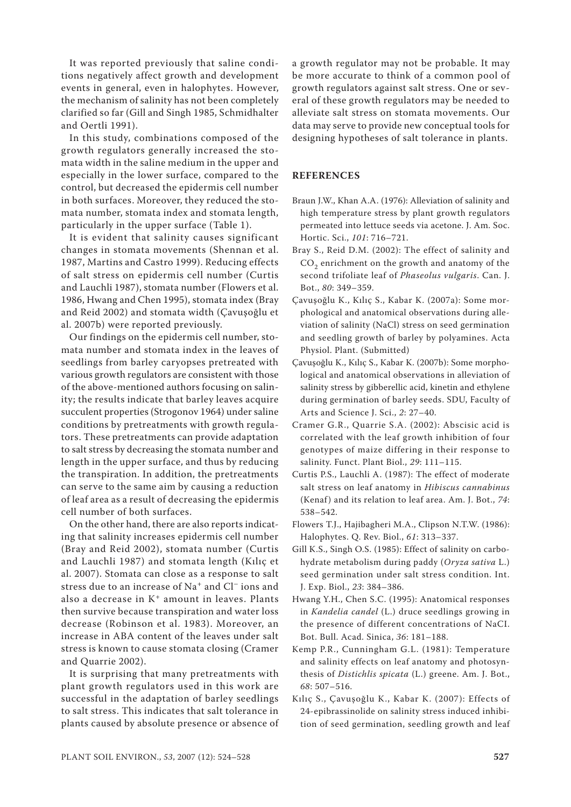It was reported previously that saline conditions negatively affect growth and development events in general, even in halophytes. However, the mechanism of salinity has not been completely clarified so far (Gill and Singh 1985, Schmidhalter and Oertli 1991).

In this study, combinations composed of the growth regulators generally increased the stomata width in the saline medium in the upper and especially in the lower surface, compared to the control, but decreased the epidermis cell number in both surfaces. Moreover, they reduced the stomata number, stomata index and stomata length, particularly in the upper surface (Table 1).

It is evident that salinity causes significant changes in stomata movements (Shennan et al. 1987, Martins and Castro 1999). Reducing effects of salt stress on epidermis cell number (Curtis and Lauchli 1987), stomata number (Flowers et al. 1986, Hwang and Chen 1995), stomata index (Bray and Reid 2002) and stomata width (Çavuşoğlu et al. 2007b) were reported previously.

Our findings on the epidermis cell number, stomata number and stomata index in the leaves of seedlings from barley caryopses pretreated with various growth regulators are consistent with those of the above-mentioned authors focusing on salinity; the results indicate that barley leaves acquire succulent properties (Strogonov 1964) under saline conditions by pretreatments with growth regulators. These pretreatments can provide adaptation to salt stress by decreasing the stomata number and length in the upper surface, and thus by reducing the transpiration. In addition, the pretreatments can serve to the same aim by causing a reduction of leaf area as a result of decreasing the epidermis cell number of both surfaces.

On the other hand, there are also reports indicating that salinity increases epidermis cell number (Bray and Reid 2002), stomata number (Curtis and Lauchli 1987) and stomata length (Kılıç et al. 2007). Stomata can close as a response to salt stress due to an increase of Na+ and Cl– ions and also a decrease in K+ amount in leaves. Plants then survive because transpiration and water loss decrease (Robinson et al. 1983). Moreover, an increase in ABA content of the leaves under salt stress is known to cause stomata closing (Cramer and Quarrie 2002).

It is surprising that many pretreatments with plant growth regulators used in this work are successful in the adaptation of barley seedlings to salt stress. This indicates that salt tolerance in plants caused by absolute presence or absence of

a growth regulator may not be probable. It may be more accurate to think of a common pool of growth regulators against salt stress. One or several of these growth regulators may be needed to alleviate salt stress on stomata movements. Our data may serve to provide new conceptual tools for designing hypotheses of salt tolerance in plants.

### **REFERENCES**

- Braun J.W., Khan A.A. (1976): Alleviation of salinity and high temperature stress by plant growth regulators permeated into lettuce seeds via acetone. J. Am. Soc. Hortic. Sci., *101*: 716–721.
- Bray S., Reid D.M. (2002): The effect of salinity and  $CO<sub>2</sub>$  enrichment on the growth and anatomy of the second trifoliate leaf of *Phaseolus vulgaris*. Can. J. Bot., *80*: 349–359.
- Çavuşoğlu K., Kılıç S., Kabar K. (2007a): Some morphological and anatomical observations during alleviation of salinity (NaCl) stress on seed germination and seedling growth of barley by polyamines. Acta Physiol. Plant. (Submitted)
- Çavuşoğlu K., Kılıç S., Kabar K. (2007b): Some morphological and anatomical observations in alleviation of salinity stress by gibberellic acid, kinetin and ethylene during germination of barley seeds. SDU, Faculty of Arts and Science J. Sci., *2*: 27–40.
- Cramer G.R., Quarrie S.A. (2002): Abscisic acid is correlated with the leaf growth inhibition of four genotypes of maize differing in their response to salinity. Funct. Plant Biol., *29*: 111–115.
- Curtis P.S., Lauchli A. (1987): The effect of moderate salt stress on leaf anatomy in *Hibiscus cannabinus* (Kenaf) and its relation to leaf area. Am. J. Bot., 74: 538–542.
- Flowers T.J., Hajibagheri M.A., Clipson N.T.W. (1986): Halophytes. Q. Rev. Biol., *61*: 313–337.
- Gill K.S., Singh O.S. (1985): Effect of salinity on carbohydrate metabolism during paddy (*Oryza sativa* L.) seed germination under salt stress condition. Int. J. Exp. Biol., *23*: 384–386.
- Hwang Y.H., Chen S.C. (1995): Anatomical responses in *Kandelia candel* (L.) druce seedlings growing in the presence of different concentrations of NaCI. Bot. Bull. Acad. Sinica, *36*: 181–188.
- Kemp P.R., Cunningham G.L. (1981): Temperature and salinity effects on leaf anatomy and photosynthesis of *Distichlis spicata* (L.) greene. Am. J. Bot., *68*: 507–516.
- Kılıç S., Çavuşoğlu K., Kabar K. (2007): Effects of 24-epibrassinolide on salinity stress induced inhibition of seed germination, seedling growth and leaf